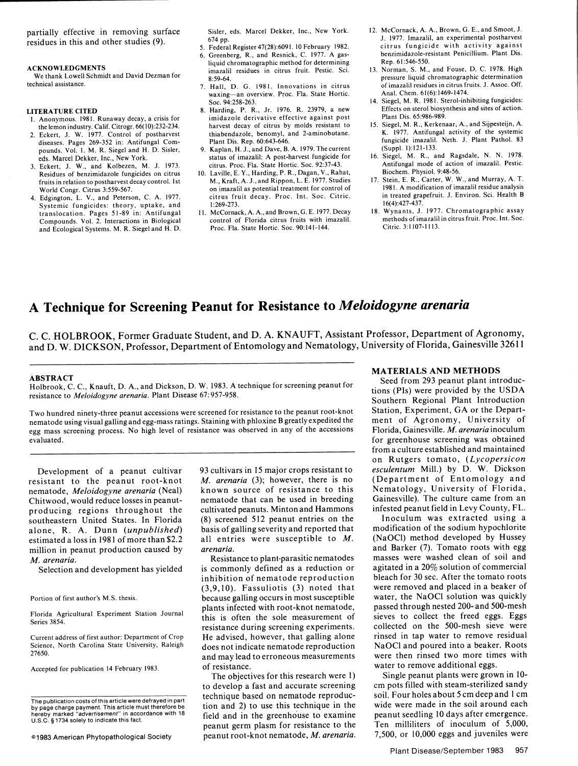## **<sup>A</sup>**Technique for Screening Peanut for Resistance to *Meloidogyne arenaria*

C. C. HOLBROOK, Former Graduate Student, and D. A. KNAUFT, Assistant Professor, Department of Agronomy, and D. W. DICKSON, Professor, Department of Entomology and Nematology, University of Florida, Gainesville 32611

Holbrook, **C. C.,** Knauft, D. A., and Dickson, D. W. 1983. **A** technique for screening peanut for **.** Seed from **293** peanut plant introducresistance to *Meloidogyne arenaria*. Plant Disease 67:957-958.

Two hundred ninety-three peanut accessions were screened for resistance to the peanut root-knot Station, Experiment, GA or the Depart-<br>nematode using visual galling and egg-mass ratings. Staining with phloxine B greatly ex nematode using visual galling and egg-mass ratings. Staining with phloxine B greatly expedited the ment of Agronomy, University of egg mass screening process. No high level of resistance was observed in any of the accessio egg mass screening process. No high level of resistance was observed in any of the accessions evaluated.

nematode, *Meloidogyne arenaria* (Neal) known source of resistance to this Nematology, University of Florida, Chitwood, would reduce losses in peanut-<br>producing regions throughout the cultivated peanuts. Minton and Hammons infested peanut field in Levy County, FL. producing regions throughout the cultivated peanuts. Minton and Hammons infested peanut field in Levy County, FL.<br>southeastern United States. In Florida (8) screened 512 peanut entries on the Inoculum was extracted using a southeastern United States. In Florida (8) screened 512 peanut entries on the Inoculum was extracted using a alone, R. A. Dunn (*unpublished*) basis of galling severity and reported that modification of the sodium hypochlo estimated a loss in 1981 of more than \$2.2 all entries were susceptible to *M*. (NaOCI) method developed by Hussey million in peanut production caused by *arenaria*. **and Barker (7).** Tomato roots with egg million in peanut production caused by *arenaria*. *M. arenaria.* Resistance to plant-parasitic nematodes masses were washed clean of soil and

27650.

Development of a peanut cultivar 93 cultivars in 15 major crops resistant to *esculentum* Mill.) by D. W. Dickson resistant to the peanut root-knot M. arenaria (3); however, there is no (Department of Entomology and *M. arenaria* (3); however, there is no (Department of Entomology and known source of resistance to this Nematology, University of Florida, basis of galling severity and reported that

Selection and development has yielded is commonly defined as a reduction or agitated in a 20% solution of commercial inhibition of nematode reproduction bleach for 30 sec. After the tomato roots (3,9,10). Fassuliotis (3) noted that were removed and placed in a beaker of Portion of first author's M.S. thesis. because galling occurs in most susceptible water, the NaOC1 solution was quickly Florida Agricultural Experiment Station Journal plants infected with root-knot nematode, passed through nested 200- and 500-mesh Florida Agricultural Experiment Station Journal<br>
this is often the sole measurement of sieves to collect the freed eggs. Eggs resistance during screening experiments. collected on the 500-mesh sieve were Current address of first author: Department of Crop He advised, however, that galling alone rinsed in tap water to remove residual Science, North Carolina State University, Raleigh does not indicate nematode reproduction NaOCI and poured into a beaker. Roots and may lead to erroneous measurements were then rinsed two more times with Accepted for publication 14 February 1983. The contraction of resistance.

tion and 2) to use this technique in the wide were made in the soil around each by page charge payment. This article must therefore be tion and 2) to use this technique in the wide were made in the soil around each hereby marked "advertisement" in accordance with 18 field and in the greenhouse to exam © **1983** American Phytopathological Society peanut root-knot nematode, *M. arenaria. 7,500,* or 10,000 eggs and juveniles were

# MATERIALS AND METHODS<br>Seed from 293 peanut plant introduc-

Southern Regional Plant Introduction<br>Station, Experiment, GA or the Departfor greenhouse screening was obtained from a culture established and maintained on Rutgers tomato, *(Lycopersicon*

The objectives for this research were 1) Single peanut plants were grown in 10to develop a fast and accurate screening cm pots filled with steam-sterilized sandy The publication costs of this article were defrayed in part technique based on nematode reproduc-<br>The publication costs of this article were defrayed in part U.S.C. § 1734 solely to indicate this fact.<br>peanut germ plasm for resistance to the Ten milliliters of inoculum of 5,000,